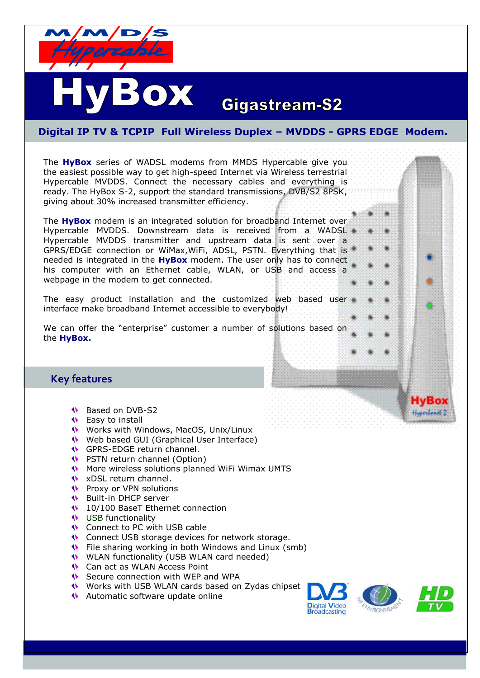

# **Gigastream-S2**

## **Digital IP TV & TCPIP Full Wireless Duplex – MVDDS - GPRS EDGE Modem.**

The **HyBox** series of WADSL modems from MMDS Hypercable give you the easiest possible way to get high-speed Internet via Wireless terrestrial Hypercable MVDDS. Connect the necessary cables and everything is ready. The HyBox S-2, support the standard transmissions, DVB/S2 8PSK, giving about 30% increased transmitter efficiency.

OX

The **HyBox** modem is an integrated solution for broadband Internet over Hypercable MVDDS. Downstream data is received from a WADSL Hypercable MVDDS transmitter and upstream data is sent over a GPRS/EDGE connection or WiMax,WiFi, ADSL, PSTN. Everything that is needed is integrated in the **HyBox** modem. The user only has to connect his computer with an Ethernet cable, WLAN, or USB and access a webpage in the modem to get connected.

The easy product installation and the customized web based user interface make broadband Internet accessible to everybody!

We can offer the "enterprise" [c](http://www.forsway.com/Forsway2/products/f-20/--enterprise)ustomer a number of solutions based on the **HyBox.**

## **Key features**

- ♦ Based on DVB-S2
- **W** Easy to install
- Works with Windows, MacOS, Unix/Linux
- Web based GUI (Graphical User Interface)
- GPRS-EDGE return channel.
- PSTN return channel (Option)
- More wireless solutions planned WiFi Wimax UMTS
- xDSL return channel.
- **Proxy or VPN solutions**
- Built-in DHCP server
- 10/100 BaseT Ethernet connection
- **W** USB functionality
- Connect to PC with USB cable
- **Connect USB storage devices for network storage.**
- File sharing working in both Windows and Linux (smb)
- WLAN functionality (USB WLAN card needed)
- **Can act as WLAN Access Point**
- Secure connection with WEP and WPA
- Works with USB WLAN cards based on Zydas chipset
- Automatic software update online



HvBox Haperheadt